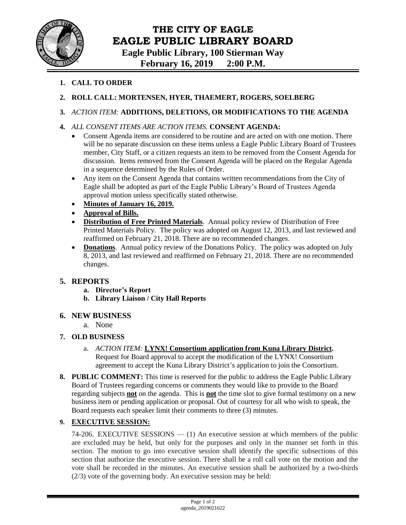

# **THE CITY OF EAGLE EAGLE PUBLIC LIBRARY BOARD**

**Eagle Public Library, 100 Stierman Way**

**February 16, 2019 2:00 P.M.**

- **1. CALL TO ORDER**
- **2. ROLL CALL: MORTENSEN, HYER, THAEMERT, ROGERS, SOELBERG**

### **3.** *ACTION ITEM:* **ADDITIONS, DELETIONS, OR MODIFICATIONS TO THE AGENDA**

- **4.** *ALL CONSENT ITEMS ARE ACTION ITEMS.* **CONSENT AGENDA:**
	- Consent Agenda items are considered to be routine and are acted on with one motion. There will be no separate discussion on these items unless a Eagle Public Library Board of Trustees member, City Staff, or a citizen requests an item to be removed from the Consent Agenda for discussion. Items removed from the Consent Agenda will be placed on the Regular Agenda in a sequence determined by the Rules of Order.
	- Any item on the Consent Agenda that contains written recommendations from the City of Eagle shall be adopted as part of the Eagle Public Library's Board of Trustees Agenda approval motion unless specifically stated otherwise.
	- **Minutes of January 16, 2019.**
	- **Approval of Bills.**
	- **Distribution of Free Printed Materials**. Annual policy review of Distribution of Free Printed Materials Policy. The policy was adopted on August 12, 2013, and last reviewed and reaffirmed on February 21, 2018. There are no recommended changes.
	- **Donations**. Annual policy review of the Donations Policy. The policy was adopted on July 8, 2013, and last reviewed and reaffirmed on February 21, 2018. There are no recommended changes.

## **5. REPORTS**

- **a. Director's Report**
- **b. Library Liaison / City Hall Reports**

#### **6. NEW BUSINESS**

a. None

#### **7. OLD BUSINESS**

- a. *ACTION ITEM:* **LYNX! Consortium application from Kuna Library District.**  Request for Board approval to accept the modification of the LYNX! Consortium agreement to accept the Kuna Library District's application to join the Consortium.
- **8. PUBLIC COMMENT:** This time is reserved for the public to address the Eagle Public Library Board of Trustees regarding concerns or comments they would like to provide to the Board regarding subjects **not** on the agenda. This is **not** the time slot to give formal testimony on a new business item or pending application or proposal. Out of courtesy for all who wish to speak, the Board requests each speaker limit their comments to three (3) minutes.

## **9. EXECUTIVE SESSION:**

74-206. EXECUTIVE SESSIONS — (1) An executive session at which members of the public are excluded may be held, but only for the purposes and only in the manner set forth in this section. The motion to go into executive session shall identify the specific subsections of this section that authorize the executive session. There shall be a roll call vote on the motion and the vote shall be recorded in the minutes. An executive session shall be authorized by a two-thirds (2/3) vote of the governing body. An executive session may be held: